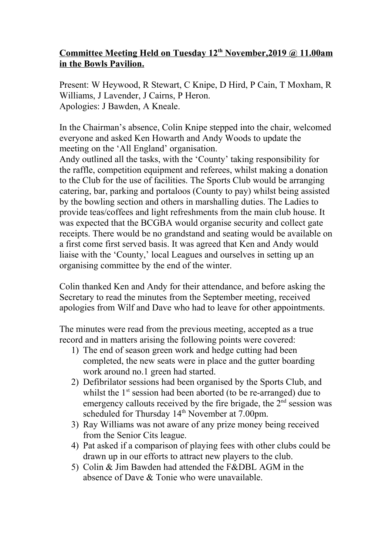## **Committee Meeting Held on Tuesday 12th November,2019 @ 11.00am in the Bowls Pavilion.**

Present: W Heywood, R Stewart, C Knipe, D Hird, P Cain, T Moxham, R Williams, J Lavender, J Cairns, P Heron. Apologies: J Bawden, A Kneale.

In the Chairman's absence, Colin Knipe stepped into the chair, welcomed everyone and asked Ken Howarth and Andy Woods to update the meeting on the 'All England' organisation.

Andy outlined all the tasks, with the 'County' taking responsibility for the raffle, competition equipment and referees, whilst making a donation to the Club for the use of facilities. The Sports Club would be arranging catering, bar, parking and portaloos (County to pay) whilst being assisted by the bowling section and others in marshalling duties. The Ladies to provide teas/coffees and light refreshments from the main club house. It was expected that the BCGBA would organise security and collect gate receipts. There would be no grandstand and seating would be available on a first come first served basis. It was agreed that Ken and Andy would liaise with the 'County,' local Leagues and ourselves in setting up an organising committee by the end of the winter.

Colin thanked Ken and Andy for their attendance, and before asking the Secretary to read the minutes from the September meeting, received apologies from Wilf and Dave who had to leave for other appointments.

The minutes were read from the previous meeting, accepted as a true record and in matters arising the following points were covered:

- 1) The end of season green work and hedge cutting had been completed, the new seats were in place and the gutter boarding work around no.1 green had started.
- 2) Defibrilator sessions had been organised by the Sports Club, and whilst the  $1<sup>st</sup>$  session had been aborted (to be re-arranged) due to emergency callouts received by the fire brigade, the  $2<sup>nd</sup>$  session was scheduled for Thursday 14<sup>th</sup> November at 7.00pm.
- 3) Ray Williams was not aware of any prize money being received from the Senior Cits league.
- 4) Pat asked if a comparison of playing fees with other clubs could be drawn up in our efforts to attract new players to the club.
- 5) Colin & Jim Bawden had attended the F&DBL AGM in the absence of Dave & Tonie who were unavailable.